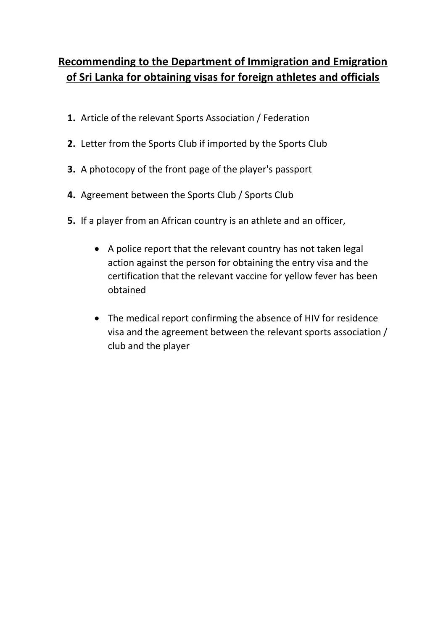## **Recommending to the Department of Immigration and Emigration of Sri Lanka for obtaining visas for foreign athletes and officials**

- **1.** Article of the relevant Sports Association / Federation
- **2.** Letter from the Sports Club if imported by the Sports Club
- **3.** A photocopy of the front page of the player's passport
- **4.** Agreement between the Sports Club / Sports Club
- **5.** If a player from an African country is an athlete and an officer,
	- A police report that the relevant country has not taken legal action against the person for obtaining the entry visa and the certification that the relevant vaccine for yellow fever has been obtained
	- The medical report confirming the absence of HIV for residence visa and the agreement between the relevant sports association / club and the player